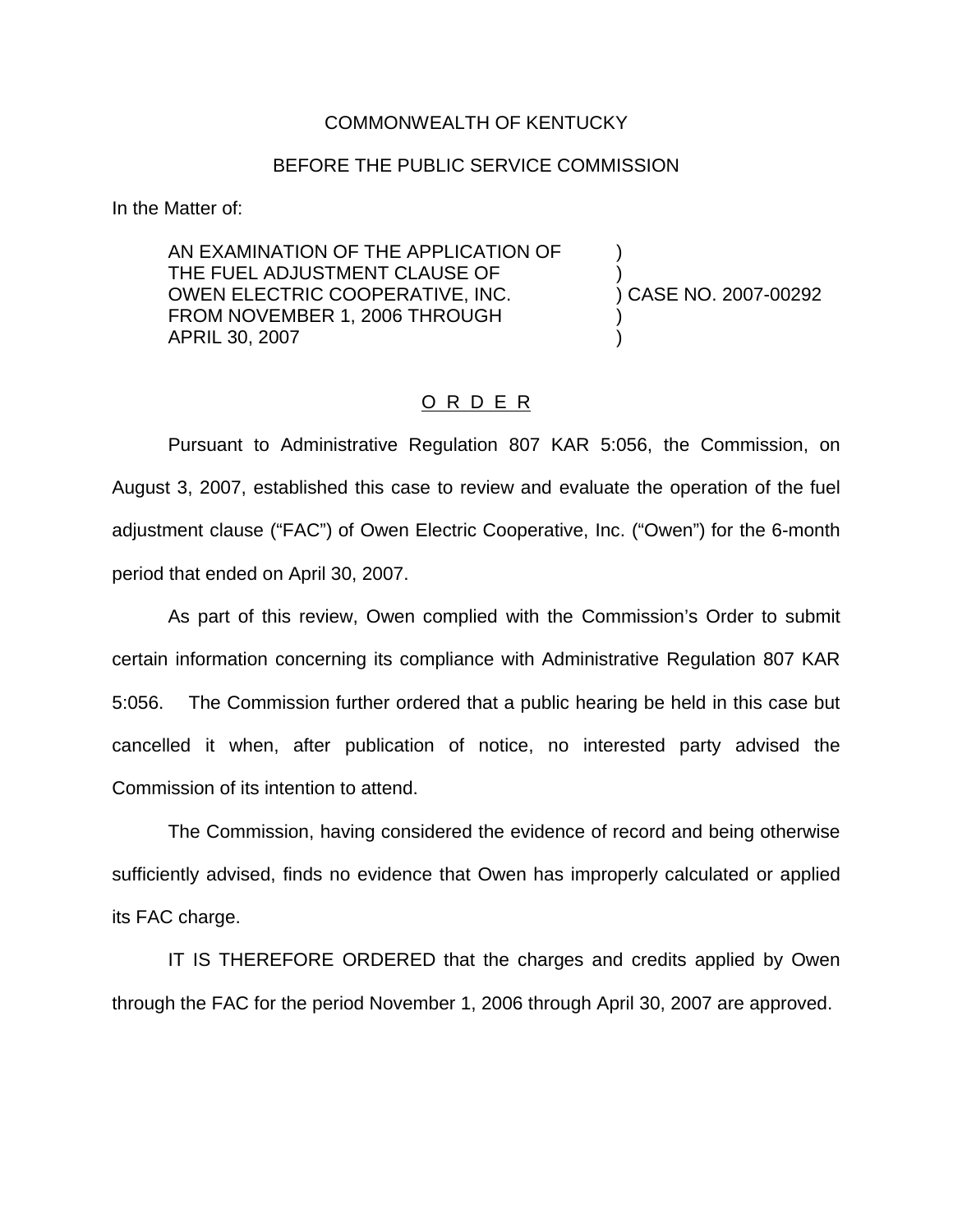## COMMONWEALTH OF KENTUCKY

## BEFORE THE PUBLIC SERVICE COMMISSION

In the Matter of:

AN EXAMINATION OF THE APPLICATION OF ) THE FUEL ADJUSTMENT CLAUSE OF  $\rule{1em}{0.15mm}$  (2007-00292)<br>OWEN ELECTRIC COOPERATIVE, INC.  $\rule{1.15mm}{0.15mm}$  (2007-00292) OWEN ELECTRIC COOPERATIVE, INC. FROM NOVEMBER 1, 2006 THROUGH APRIL 30, 2007 )

## O R D E R

Pursuant to Administrative Regulation 807 KAR 5:056, the Commission, on August 3, 2007, established this case to review and evaluate the operation of the fuel adjustment clause ("FAC") of Owen Electric Cooperative, Inc. ("Owen") for the 6-month period that ended on April 30, 2007.

As part of this review, Owen complied with the Commission's Order to submit certain information concerning its compliance with Administrative Regulation 807 KAR 5:056. The Commission further ordered that a public hearing be held in this case but cancelled it when, after publication of notice, no interested party advised the Commission of its intention to attend.

The Commission, having considered the evidence of record and being otherwise sufficiently advised, finds no evidence that Owen has improperly calculated or applied its FAC charge.

IT IS THEREFORE ORDERED that the charges and credits applied by Owen through the FAC for the period November 1, 2006 through April 30, 2007 are approved.